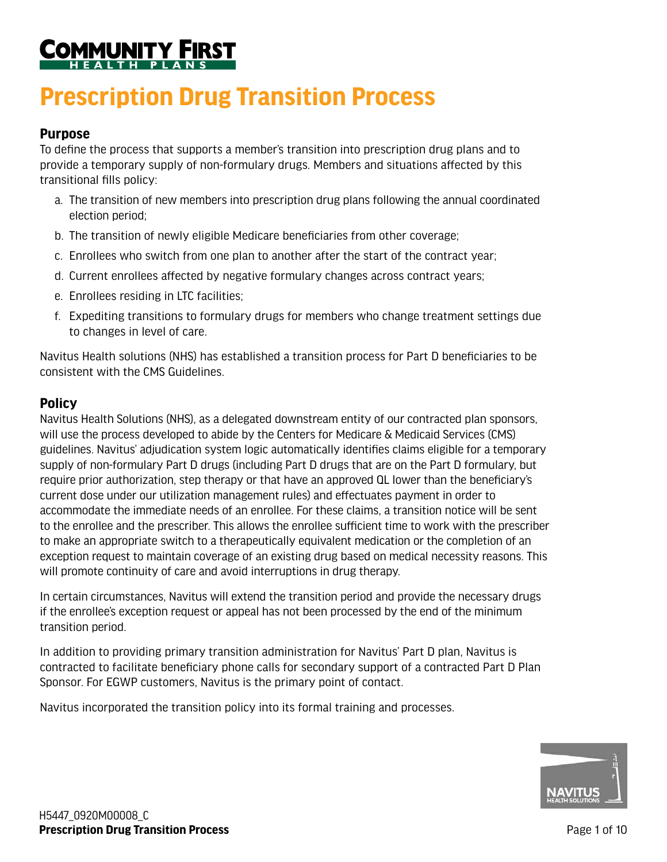# <u> COMMUNITY</u>

# **Prescription Drug Transition Process**

# **Purpose**

To define the process that supports a member's transition into prescription drug plans and to provide a temporary supply of non-formulary drugs. Members and situations affected by this transitional fills policy:

- a. The transition of new members into prescription drug plans following the annual coordinated election period;
- b. The transition of newly eligible Medicare beneficiaries from other coverage;
- c. Enrollees who switch from one plan to another after the start of the contract year;
- d. Current enrollees affected by negative formulary changes across contract years;
- e. Enrollees residing in LTC facilities;
- f. Expediting transitions to formulary drugs for members who change treatment settings due to changes in level of care.

Navitus Health solutions (NHS) has established a transition process for Part D beneficiaries to be consistent with the CMS Guidelines.

# **Policy**

Navitus Health Solutions (NHS), as a delegated downstream entity of our contracted plan sponsors, will use the process developed to abide by the Centers for Medicare & Medicaid Services (CMS) guidelines. Navitus' adjudication system logic automatically identifies claims eligible for a temporary supply of non-formulary Part D drugs (including Part D drugs that are on the Part D formulary, but require prior authorization, step therapy or that have an approved QL lower than the beneficiary's current dose under our utilization management rules) and effectuates payment in order to accommodate the immediate needs of an enrollee. For these claims, a transition notice will be sent to the enrollee and the prescriber. This allows the enrollee sufficient time to work with the prescriber to make an appropriate switch to a therapeutically equivalent medication or the completion of an exception request to maintain coverage of an existing drug based on medical necessity reasons. This will promote continuity of care and avoid interruptions in drug therapy.

In certain circumstances, Navitus will extend the transition period and provide the necessary drugs if the enrollee's exception request or appeal has not been processed by the end of the minimum transition period.

In addition to providing primary transition administration for Navitus' Part D plan, Navitus is contracted to facilitate beneficiary phone calls for secondary support of a contracted Part D Plan Sponsor. For EGWP customers, Navitus is the primary point of contact.

Navitus incorporated the transition policy into its formal training and processes.

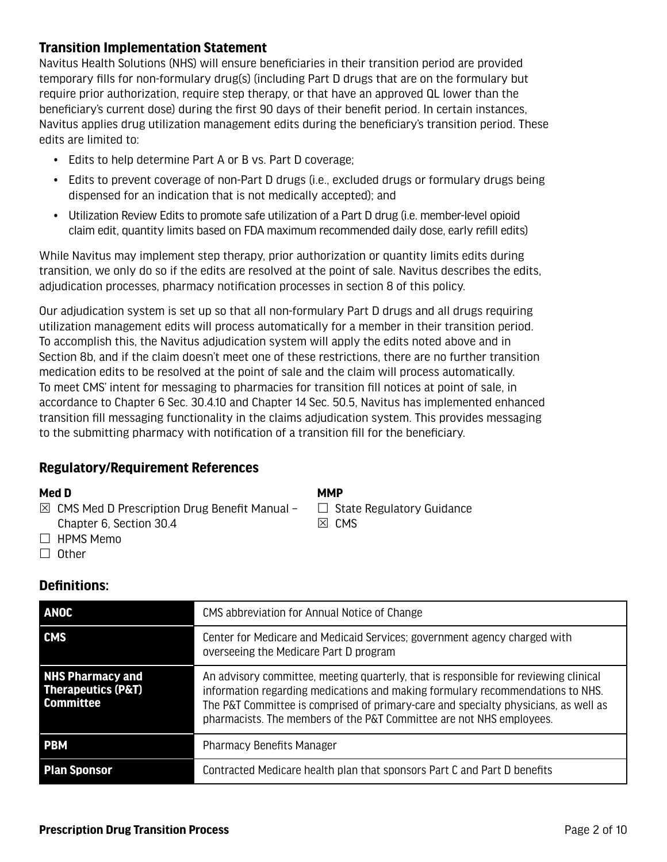# **Transition Implementation Statement**

Navitus Health Solutions (NHS) will ensure beneficiaries in their transition period are provided temporary fills for non-formulary drug(s) (including Part D drugs that are on the formulary but require prior authorization, require step therapy, or that have an approved QL lower than the beneficiary's current dose) during the first 90 days of their benefit period. In certain instances, Navitus applies drug utilization management edits during the beneficiary's transition period. These edits are limited to:

- Edits to help determine Part A or B vs. Part D coverage;
- Edits to prevent coverage of non-Part D drugs (i.e., excluded drugs or formulary drugs being dispensed for an indication that is not medically accepted); and
- Utilization Review Edits to promote safe utilization of a Part D drug (i.e. member-level opioid claim edit, quantity limits based on FDA maximum recommended daily dose, early refill edits)

While Navitus may implement step therapy, prior authorization or quantity limits edits during transition, we only do so if the edits are resolved at the point of sale. Navitus describes the edits, adjudication processes, pharmacy notification processes in section 8 of this policy.

Our adjudication system is set up so that all non-formulary Part D drugs and all drugs requiring utilization management edits will process automatically for a member in their transition period. To accomplish this, the Navitus adjudication system will apply the edits noted above and in Section 8b, and if the claim doesn't meet one of these restrictions, there are no further transition medication edits to be resolved at the point of sale and the claim will process automatically. To meet CMS' intent for messaging to pharmacies for transition fill notices at point of sale, in accordance to Chapter 6 Sec. 30.4.10 and Chapter 14 Sec. 50.5, Navitus has implemented enhanced transition fill messaging functionality in the claims adjudication system. This provides messaging to the submitting pharmacy with notification of a transition fill for the beneficiary.

## **Regulatory/Requirement References**

#### **Med D**

 $\boxtimes$  CMS Med D Prescription Drug Benefit Manual – Chapter 6, Section 30.4

**MMP**

 $\Box$  State Regulatory Guidance  $\boxtimes$  CMS

- $\Box$  HPMS Memo
- $\Box$  Other

## **Definitions:**

| <b>ANOC</b>                                                                  | CMS abbreviation for Annual Notice of Change                                                                                                                                                                                                                                                                                          |
|------------------------------------------------------------------------------|---------------------------------------------------------------------------------------------------------------------------------------------------------------------------------------------------------------------------------------------------------------------------------------------------------------------------------------|
| <b>CMS</b>                                                                   | Center for Medicare and Medicaid Services; government agency charged with<br>overseeing the Medicare Part D program                                                                                                                                                                                                                   |
| <b>NHS Pharmacy and</b><br><b>Therapeutics (P&amp;T)</b><br><b>Committee</b> | An advisory committee, meeting quarterly, that is responsible for reviewing clinical<br>information regarding medications and making formulary recommendations to NHS.<br>The P&T Committee is comprised of primary-care and specialty physicians, as well as<br>pharmacists. The members of the P&T Committee are not NHS employees. |
| <b>PBM</b>                                                                   | <b>Pharmacy Benefits Manager</b>                                                                                                                                                                                                                                                                                                      |
| <b>Plan Sponsor</b>                                                          | Contracted Medicare health plan that sponsors Part C and Part D benefits                                                                                                                                                                                                                                                              |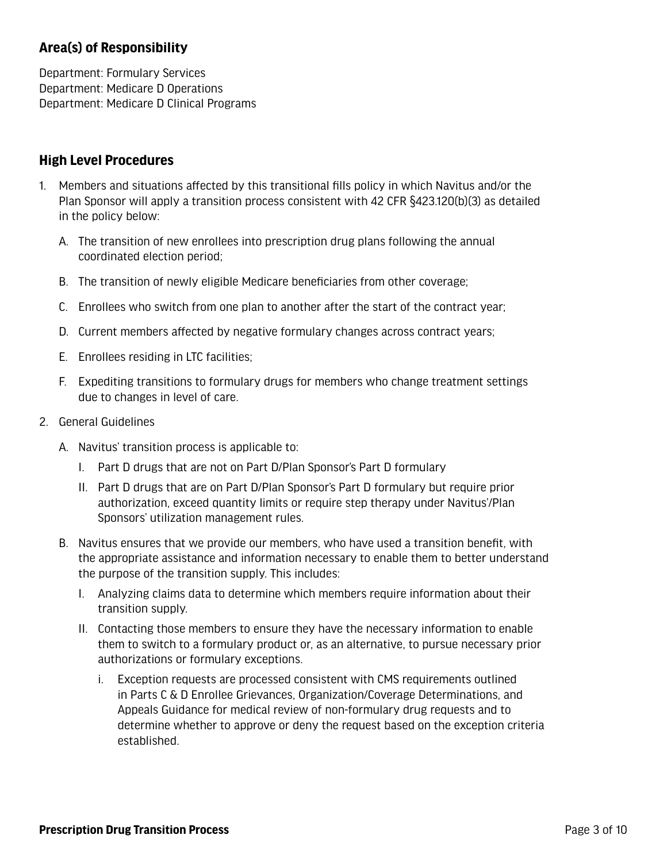# **Area(s) of Responsibility**

Department: Formulary Services Department: Medicare D Operations Department: Medicare D Clinical Programs

# **High Level Procedures**

- 1. Members and situations affected by this transitional fills policy in which Navitus and/or the Plan Sponsor will apply a transition process consistent with 42 CFR §423.120(b)(3) as detailed in the policy below:
	- A. The transition of new enrollees into prescription drug plans following the annual coordinated election period;
	- B. The transition of newly eligible Medicare beneficiaries from other coverage;
	- C. Enrollees who switch from one plan to another after the start of the contract year;
	- D. Current members affected by negative formulary changes across contract years;
	- E. Enrollees residing in LTC facilities;
	- F. Expediting transitions to formulary drugs for members who change treatment settings due to changes in level of care.
- 2. General Guidelines
	- A. Navitus' transition process is applicable to:
		- I. Part D drugs that are not on Part D/Plan Sponsor's Part D formulary
		- II. Part D drugs that are on Part D/Plan Sponsor's Part D formulary but require prior authorization, exceed quantity limits or require step therapy under Navitus'/Plan Sponsors' utilization management rules.
	- B. Navitus ensures that we provide our members, who have used a transition benefit, with the appropriate assistance and information necessary to enable them to better understand the purpose of the transition supply. This includes:
		- I. Analyzing claims data to determine which members require information about their transition supply.
		- II. Contacting those members to ensure they have the necessary information to enable them to switch to a formulary product or, as an alternative, to pursue necessary prior authorizations or formulary exceptions.
			- i. Exception requests are processed consistent with CMS requirements outlined in Parts C & D Enrollee Grievances, Organization/Coverage Determinations, and Appeals Guidance for medical review of non-formulary drug requests and to determine whether to approve or deny the request based on the exception criteria established.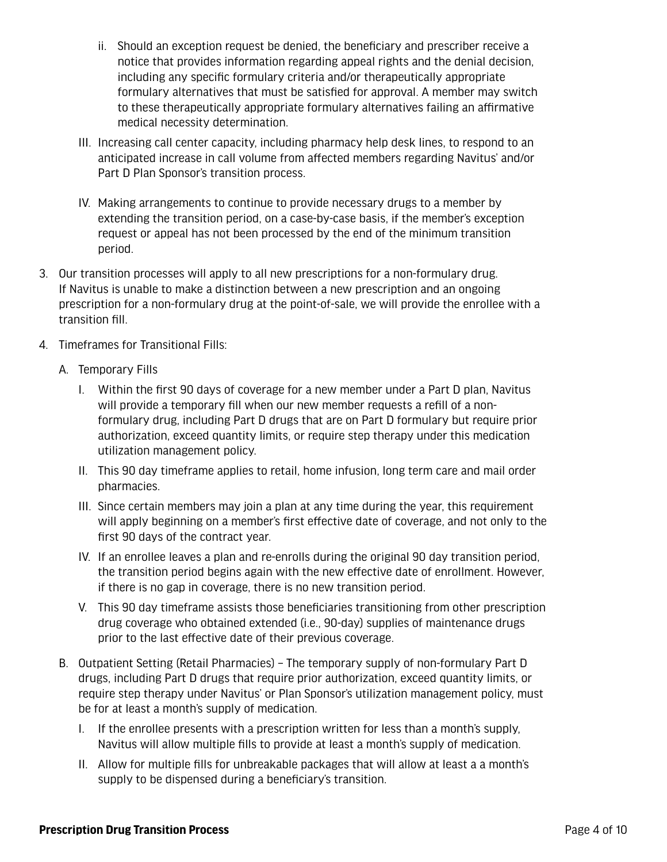- ii. Should an exception request be denied, the beneficiary and prescriber receive a notice that provides information regarding appeal rights and the denial decision, including any specific formulary criteria and/or therapeutically appropriate formulary alternatives that must be satisfied for approval. A member may switch to these therapeutically appropriate formulary alternatives failing an affirmative medical necessity determination.
- III. Increasing call center capacity, including pharmacy help desk lines, to respond to an anticipated increase in call volume from affected members regarding Navitus' and/or Part D Plan Sponsor's transition process.
- IV. Making arrangements to continue to provide necessary drugs to a member by extending the transition period, on a case-by-case basis, if the member's exception request or appeal has not been processed by the end of the minimum transition period.
- 3. Our transition processes will apply to all new prescriptions for a non-formulary drug. If Navitus is unable to make a distinction between a new prescription and an ongoing prescription for a non-formulary drug at the point-of-sale, we will provide the enrollee with a transition fill.
- 4. Timeframes for Transitional Fills:
	- A. Temporary Fills
		- I. Within the first 90 days of coverage for a new member under a Part D plan, Navitus will provide a temporary fill when our new member requests a refill of a nonformulary drug, including Part D drugs that are on Part D formulary but require prior authorization, exceed quantity limits, or require step therapy under this medication utilization management policy.
		- II. This 90 day timeframe applies to retail, home infusion, long term care and mail order pharmacies.
		- III. Since certain members may join a plan at any time during the year, this requirement will apply beginning on a member's first effective date of coverage, and not only to the first 90 days of the contract year.
		- IV. If an enrollee leaves a plan and re-enrolls during the original 90 day transition period, the transition period begins again with the new effective date of enrollment. However, if there is no gap in coverage, there is no new transition period.
		- V. This 90 day timeframe assists those beneficiaries transitioning from other prescription drug coverage who obtained extended (i.e., 90-day) supplies of maintenance drugs prior to the last effective date of their previous coverage.
	- B. Outpatient Setting (Retail Pharmacies) The temporary supply of non-formulary Part D drugs, including Part D drugs that require prior authorization, exceed quantity limits, or require step therapy under Navitus' or Plan Sponsor's utilization management policy, must be for at least a month's supply of medication.
		- I. If the enrollee presents with a prescription written for less than a month's supply, Navitus will allow multiple fills to provide at least a month's supply of medication.
		- II. Allow for multiple fills for unbreakable packages that will allow at least a a month's supply to be dispensed during a beneficiary's transition.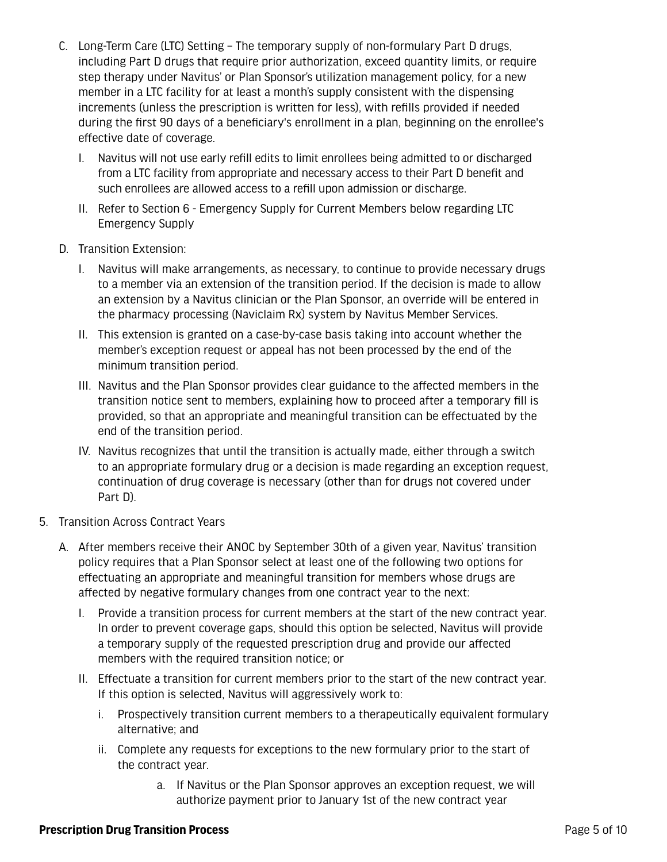- C. Long-Term Care (LTC) Setting The temporary supply of non-formulary Part D drugs, including Part D drugs that require prior authorization, exceed quantity limits, or require step therapy under Navitus' or Plan Sponsor's utilization management policy, for a new member in a LTC facility for at least a month's supply consistent with the dispensing increments (unless the prescription is written for less), with refills provided if needed during the first 90 days of a beneficiary's enrollment in a plan, beginning on the enrollee's effective date of coverage.
	- I. Navitus will not use early refill edits to limit enrollees being admitted to or discharged from a LTC facility from appropriate and necessary access to their Part D benefit and such enrollees are allowed access to a refill upon admission or discharge.
	- II. Refer to Section 6 Emergency Supply for Current Members below regarding LTC Emergency Supply
- D. Transition Extension:
	- I. Navitus will make arrangements, as necessary, to continue to provide necessary drugs to a member via an extension of the transition period. If the decision is made to allow an extension by a Navitus clinician or the Plan Sponsor, an override will be entered in the pharmacy processing (Naviclaim Rx) system by Navitus Member Services.
	- II. This extension is granted on a case-by-case basis taking into account whether the member's exception request or appeal has not been processed by the end of the minimum transition period.
	- III. Navitus and the Plan Sponsor provides clear guidance to the affected members in the transition notice sent to members, explaining how to proceed after a temporary fill is provided, so that an appropriate and meaningful transition can be effectuated by the end of the transition period.
	- IV. Navitus recognizes that until the transition is actually made, either through a switch to an appropriate formulary drug or a decision is made regarding an exception request, continuation of drug coverage is necessary (other than for drugs not covered under Part D).
- 5. Transition Across Contract Years
	- A. After members receive their ANOC by September 30th of a given year, Navitus' transition policy requires that a Plan Sponsor select at least one of the following two options for effectuating an appropriate and meaningful transition for members whose drugs are affected by negative formulary changes from one contract year to the next:
		- I. Provide a transition process for current members at the start of the new contract year. In order to prevent coverage gaps, should this option be selected, Navitus will provide a temporary supply of the requested prescription drug and provide our affected members with the required transition notice; or
		- II. Effectuate a transition for current members prior to the start of the new contract year. If this option is selected, Navitus will aggressively work to:
			- i. Prospectively transition current members to a therapeutically equivalent formulary alternative; and
			- ii. Complete any requests for exceptions to the new formulary prior to the start of the contract year.
				- a. If Navitus or the Plan Sponsor approves an exception request, we will authorize payment prior to January 1st of the new contract year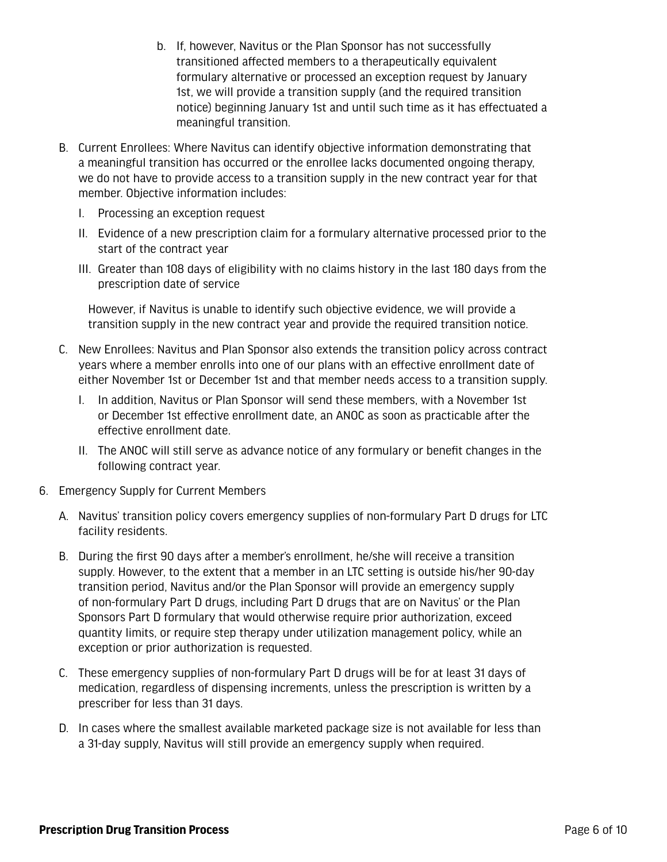- b. If, however, Navitus or the Plan Sponsor has not successfully transitioned affected members to a therapeutically equivalent formulary alternative or processed an exception request by January 1st, we will provide a transition supply (and the required transition notice) beginning January 1st and until such time as it has effectuated a meaningful transition.
- B. Current Enrollees: Where Navitus can identify objective information demonstrating that a meaningful transition has occurred or the enrollee lacks documented ongoing therapy, we do not have to provide access to a transition supply in the new contract year for that member. Objective information includes:
	- I. Processing an exception request
	- II. Evidence of a new prescription claim for a formulary alternative processed prior to the start of the contract year
	- III. Greater than 108 days of eligibility with no claims history in the last 180 days from the prescription date of service

However, if Navitus is unable to identify such objective evidence, we will provide a transition supply in the new contract year and provide the required transition notice.

- C. New Enrollees: Navitus and Plan Sponsor also extends the transition policy across contract years where a member enrolls into one of our plans with an effective enrollment date of either November 1st or December 1st and that member needs access to a transition supply.
	- I. In addition, Navitus or Plan Sponsor will send these members, with a November 1st or December 1st effective enrollment date, an ANOC as soon as practicable after the effective enrollment date.
	- II. The ANOC will still serve as advance notice of any formulary or benefit changes in the following contract year.
- 6. Emergency Supply for Current Members
	- A. Navitus' transition policy covers emergency supplies of non-formulary Part D drugs for LTC facility residents.
	- B. During the first 90 days after a member's enrollment, he/she will receive a transition supply. However, to the extent that a member in an LTC setting is outside his/her 90-day transition period, Navitus and/or the Plan Sponsor will provide an emergency supply of non-formulary Part D drugs, including Part D drugs that are on Navitus' or the Plan Sponsors Part D formulary that would otherwise require prior authorization, exceed quantity limits, or require step therapy under utilization management policy, while an exception or prior authorization is requested.
	- C. These emergency supplies of non-formulary Part D drugs will be for at least 31 days of medication, regardless of dispensing increments, unless the prescription is written by a prescriber for less than 31 days.
	- D. In cases where the smallest available marketed package size is not available for less than a 31-day supply, Navitus will still provide an emergency supply when required.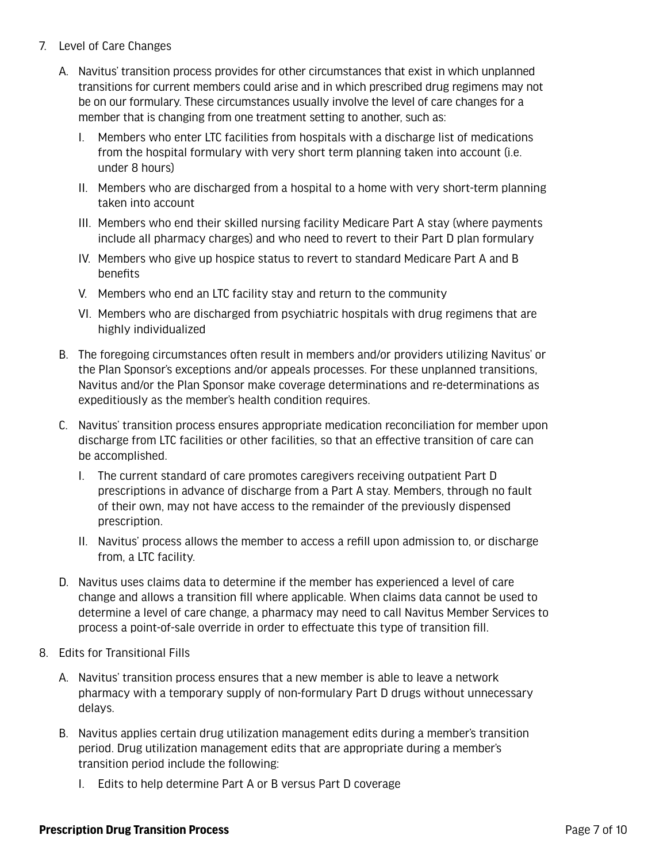- 7. Level of Care Changes
	- A. Navitus' transition process provides for other circumstances that exist in which unplanned transitions for current members could arise and in which prescribed drug regimens may not be on our formulary. These circumstances usually involve the level of care changes for a member that is changing from one treatment setting to another, such as:
		- I. Members who enter LTC facilities from hospitals with a discharge list of medications from the hospital formulary with very short term planning taken into account (i.e. under 8 hours)
		- II. Members who are discharged from a hospital to a home with very short-term planning taken into account
		- III. Members who end their skilled nursing facility Medicare Part A stay (where payments include all pharmacy charges) and who need to revert to their Part D plan formulary
		- IV. Members who give up hospice status to revert to standard Medicare Part A and B benefits
		- V. Members who end an LTC facility stay and return to the community
		- VI. Members who are discharged from psychiatric hospitals with drug regimens that are highly individualized
	- B. The foregoing circumstances often result in members and/or providers utilizing Navitus' or the Plan Sponsor's exceptions and/or appeals processes. For these unplanned transitions, Navitus and/or the Plan Sponsor make coverage determinations and re-determinations as expeditiously as the member's health condition requires.
	- C. Navitus' transition process ensures appropriate medication reconciliation for member upon discharge from LTC facilities or other facilities, so that an effective transition of care can be accomplished.
		- I. The current standard of care promotes caregivers receiving outpatient Part D prescriptions in advance of discharge from a Part A stay. Members, through no fault of their own, may not have access to the remainder of the previously dispensed prescription.
		- II. Navitus' process allows the member to access a refill upon admission to, or discharge from, a LTC facility.
	- D. Navitus uses claims data to determine if the member has experienced a level of care change and allows a transition fill where applicable. When claims data cannot be used to determine a level of care change, a pharmacy may need to call Navitus Member Services to process a point-of-sale override in order to effectuate this type of transition fill.
- 8. Edits for Transitional Fills
	- A. Navitus' transition process ensures that a new member is able to leave a network pharmacy with a temporary supply of non-formulary Part D drugs without unnecessary delays.
	- B. Navitus applies certain drug utilization management edits during a member's transition period. Drug utilization management edits that are appropriate during a member's transition period include the following:
		- I. Edits to help determine Part A or B versus Part D coverage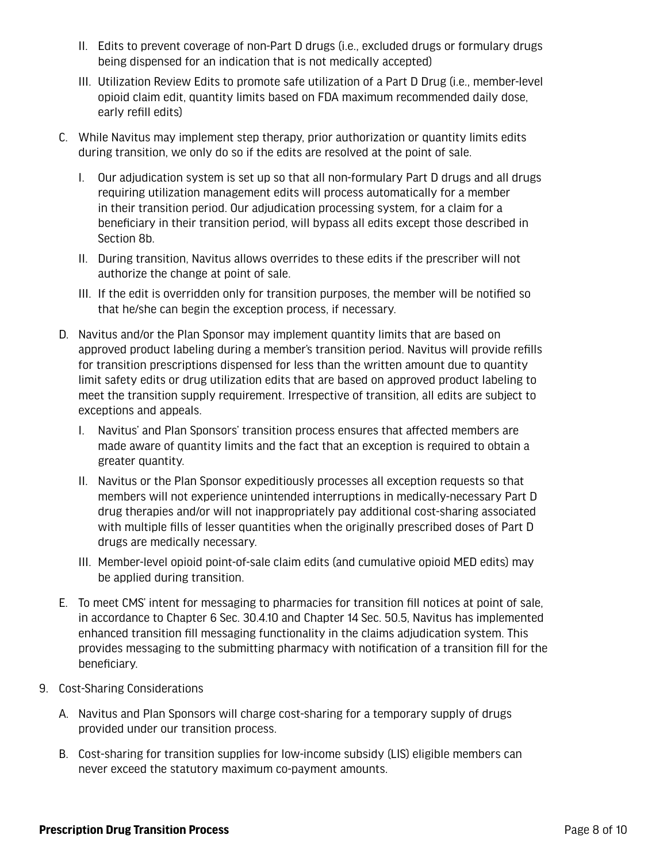- II. Edits to prevent coverage of non-Part D drugs (i.e., excluded drugs or formulary drugs being dispensed for an indication that is not medically accepted)
- III. Utilization Review Edits to promote safe utilization of a Part D Drug (i.e., member-level opioid claim edit, quantity limits based on FDA maximum recommended daily dose, early refill edits)
- C. While Navitus may implement step therapy, prior authorization or quantity limits edits during transition, we only do so if the edits are resolved at the point of sale.
	- I. Our adjudication system is set up so that all non-formulary Part D drugs and all drugs requiring utilization management edits will process automatically for a member in their transition period. Our adjudication processing system, for a claim for a beneficiary in their transition period, will bypass all edits except those described in Section 8b.
	- II. During transition, Navitus allows overrides to these edits if the prescriber will not authorize the change at point of sale.
	- III. If the edit is overridden only for transition purposes, the member will be notified so that he/she can begin the exception process, if necessary.
- D. Navitus and/or the Plan Sponsor may implement quantity limits that are based on approved product labeling during a member's transition period. Navitus will provide refills for transition prescriptions dispensed for less than the written amount due to quantity limit safety edits or drug utilization edits that are based on approved product labeling to meet the transition supply requirement. Irrespective of transition, all edits are subject to exceptions and appeals.
	- I. Navitus' and Plan Sponsors' transition process ensures that affected members are made aware of quantity limits and the fact that an exception is required to obtain a greater quantity.
	- II. Navitus or the Plan Sponsor expeditiously processes all exception requests so that members will not experience unintended interruptions in medically-necessary Part D drug therapies and/or will not inappropriately pay additional cost-sharing associated with multiple fills of lesser quantities when the originally prescribed doses of Part D drugs are medically necessary.
	- III. Member-level opioid point-of-sale claim edits (and cumulative opioid MED edits) may be applied during transition.
- E. To meet CMS' intent for messaging to pharmacies for transition fill notices at point of sale, in accordance to Chapter 6 Sec. 30.4.10 and Chapter 14 Sec. 50.5, Navitus has implemented enhanced transition fill messaging functionality in the claims adjudication system. This provides messaging to the submitting pharmacy with notification of a transition fill for the beneficiary.
- 9. Cost-Sharing Considerations
	- A. Navitus and Plan Sponsors will charge cost-sharing for a temporary supply of drugs provided under our transition process.
	- B. Cost-sharing for transition supplies for low-income subsidy (LIS) eligible members can never exceed the statutory maximum co-payment amounts.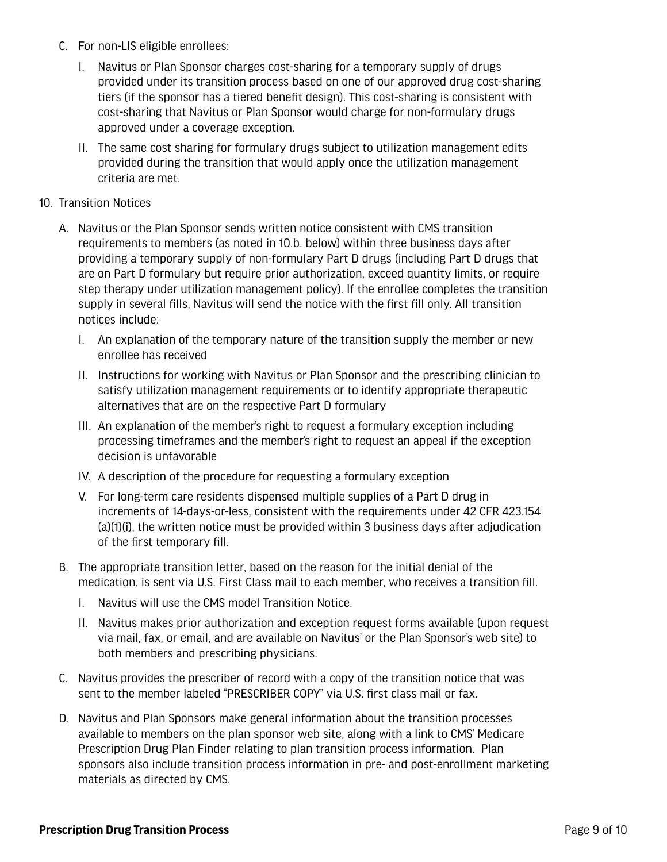- C. For non-LIS eligible enrollees:
	- I. Navitus or Plan Sponsor charges cost-sharing for a temporary supply of drugs provided under its transition process based on one of our approved drug cost-sharing tiers (if the sponsor has a tiered benefit design). This cost-sharing is consistent with cost-sharing that Navitus or Plan Sponsor would charge for non-formulary drugs approved under a coverage exception.
	- II. The same cost sharing for formulary drugs subject to utilization management edits provided during the transition that would apply once the utilization management criteria are met.

#### 10. Transition Notices

- A. Navitus or the Plan Sponsor sends written notice consistent with CMS transition requirements to members (as noted in 10.b. below) within three business days after providing a temporary supply of non-formulary Part D drugs (including Part D drugs that are on Part D formulary but require prior authorization, exceed quantity limits, or require step therapy under utilization management policy). If the enrollee completes the transition supply in several fills, Navitus will send the notice with the first fill only. All transition notices include:
	- I. An explanation of the temporary nature of the transition supply the member or new enrollee has received
	- II. Instructions for working with Navitus or Plan Sponsor and the prescribing clinician to satisfy utilization management requirements or to identify appropriate therapeutic alternatives that are on the respective Part D formulary
	- III. An explanation of the member's right to request a formulary exception including processing timeframes and the member's right to request an appeal if the exception decision is unfavorable
	- IV. A description of the procedure for requesting a formulary exception
	- V. For long-term care residents dispensed multiple supplies of a Part D drug in increments of 14-days-or-less, consistent with the requirements under 42 CFR 423.154 (a)(1)(i), the written notice must be provided within 3 business days after adjudication of the first temporary fill.
- B. The appropriate transition letter, based on the reason for the initial denial of the medication, is sent via U.S. First Class mail to each member, who receives a transition fill.
	- I. Navitus will use the CMS model Transition Notice.
	- II. Navitus makes prior authorization and exception request forms available (upon request via mail, fax, or email, and are available on Navitus' or the Plan Sponsor's web site) to both members and prescribing physicians.
- C. Navitus provides the prescriber of record with a copy of the transition notice that was sent to the member labeled "PRESCRIBER COPY" via U.S. first class mail or fax.
- D. Navitus and Plan Sponsors make general information about the transition processes available to members on the plan sponsor web site, along with a link to CMS' Medicare Prescription Drug Plan Finder relating to plan transition process information. Plan sponsors also include transition process information in pre- and post-enrollment marketing materials as directed by CMS.